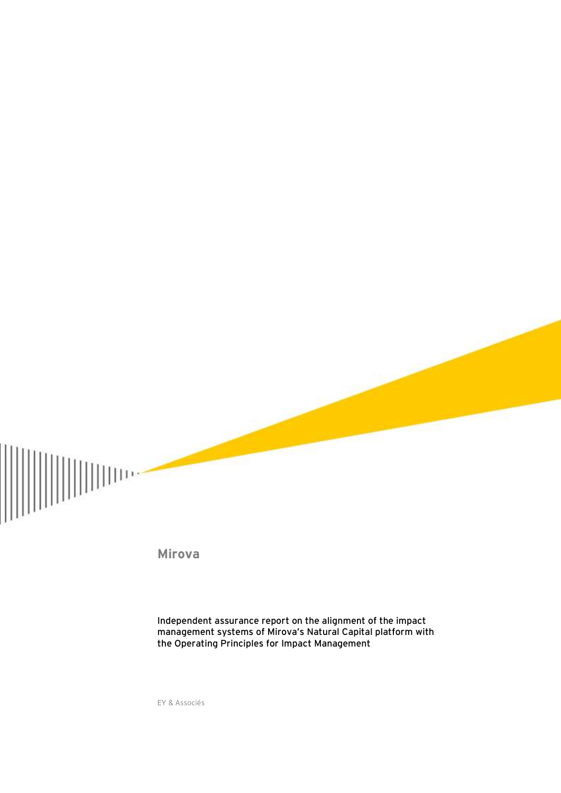

**Mirova**

Independent assurance report on the alignment of the impact management systems of Mirova's Natural Capital platform with the Operating Principles for Impact Management

EY & Associés